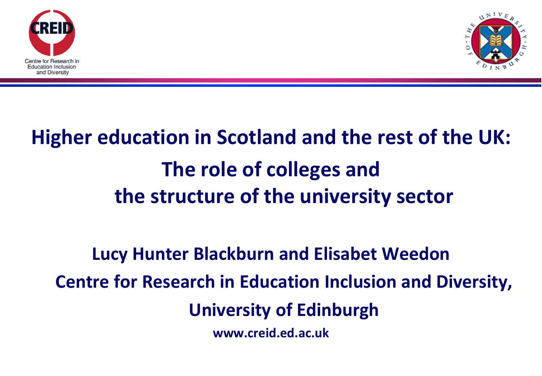



## **Higher education in Scotland and the rest of the UK: The role of colleges and the structure of the university sector**

## **Lucy Hunter Blackburn and Elisabet Weedon Centre for Research in Education Inclusion and Diversity, University of Edinburgh www.creid.ed.ac.uk**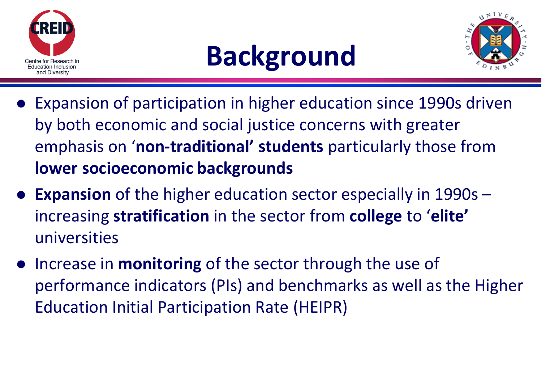





- Expansion of participation in higher education since 1990s driven by both economic and social justice concerns with greater emphasis on '**non-traditional' students** particularly those from **lower socioeconomic backgrounds**
- **Expansion** of the higher education sector especially in 1990s increasing **stratification** in the sector from **college** to '**elite'** universities
- Increase in **monitoring** of the sector through the use of performance indicators (PIs) and benchmarks as well as the Higher Education Initial Participation Rate (HEIPR)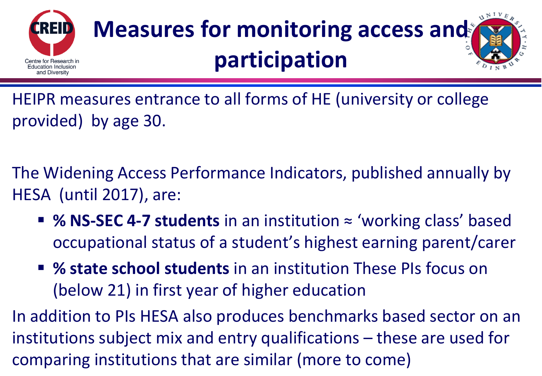

# **Measures for monitoring access and participation**



HEIPR measures entrance to all forms of HE (university or college provided) by age 30.

The Widening Access Performance Indicators, published annually by HESA (until 2017), are:

- % NS-SEC 4-7 students in an institution ≈ 'working class' based occupational status of a student's highest earning parent/carer
- **% state school students** in an institution These PIs focus on (below 21) in first year of higher education

In addition to PIs HESA also produces benchmarks based sector on an institutions subject mix and entry qualifications – these are used for comparing institutions that are similar (more to come)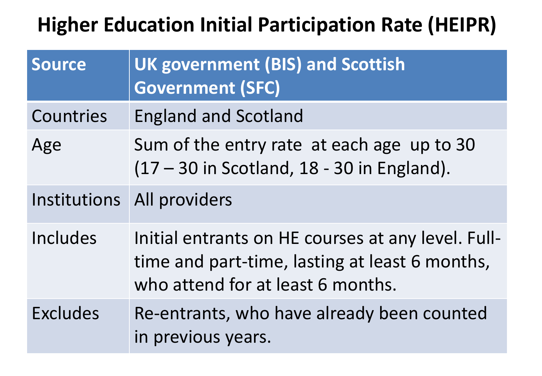## **Higher Education Initial Participation Rate (HEIPR)**

| <b>Source</b>   | <b>UK government (BIS) and Scottish</b><br><b>Government (SFC)</b>                                                                        |
|-----------------|-------------------------------------------------------------------------------------------------------------------------------------------|
| Countries       | <b>England and Scotland</b>                                                                                                               |
| Age             | Sum of the entry rate at each age up to 30<br>(17 - 30 in Scotland, 18 - 30 in England).                                                  |
|                 | Institutions All providers                                                                                                                |
| Includes        | Initial entrants on HE courses at any level. Full-<br>time and part-time, lasting at least 6 months,<br>who attend for at least 6 months. |
| <b>Excludes</b> | Re-entrants, who have already been counted<br>in previous years.                                                                          |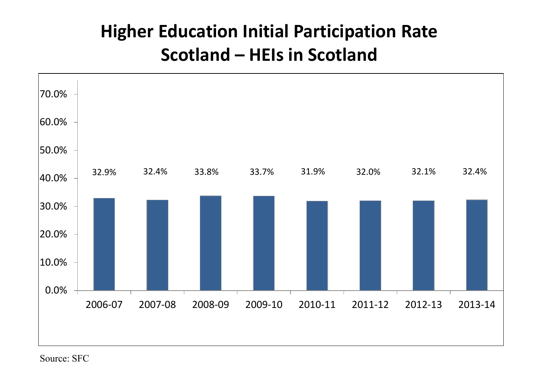## **Higher Education Initial Participation Rate Scotland – HEIs in Scotland**



Source: SFC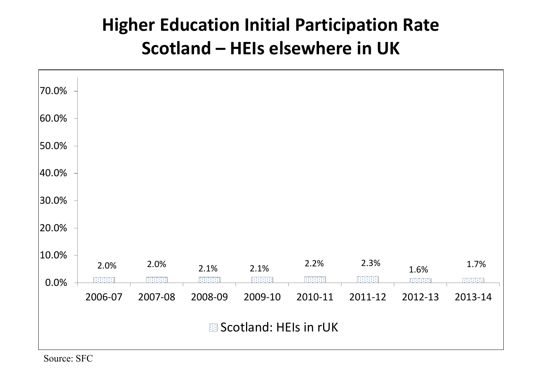### **Higher Education Initial Participation Rate Scotland – HEIs elsewhere in UK**

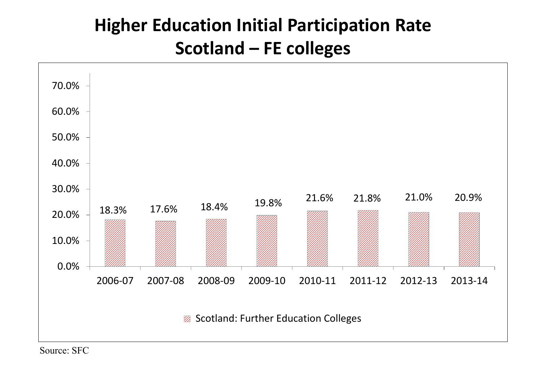## **Higher Education Initial Participation Rate Scotland – FE colleges**



Source: SFC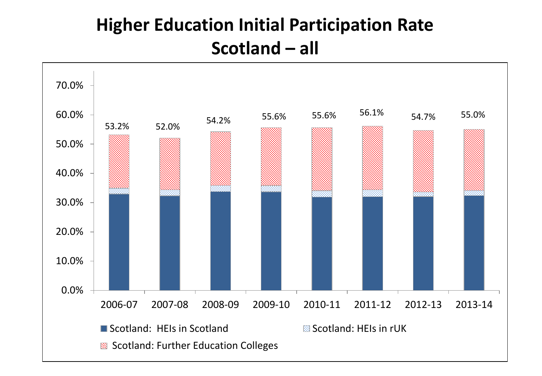### **Higher Education Initial Participation Rate Scotland – all**

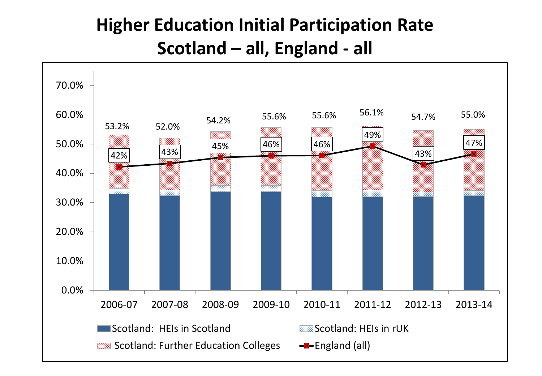## **Higher Education Initial Participation Rate Scotland – all, England - all**

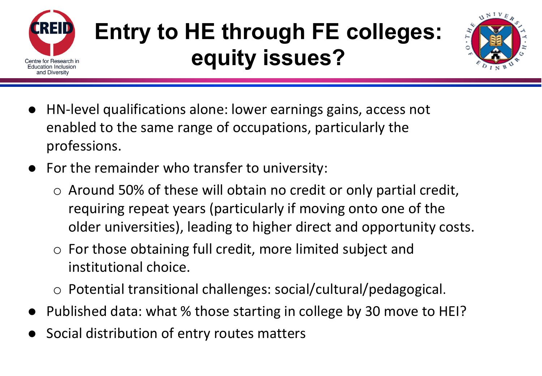

# **Entry to HE through FE colleges: equity issues?**



- HN-level qualifications alone: lower earnings gains, access not enabled to the same range of occupations, particularly the professions.
- For the remainder who transfer to university:
	- o Around 50% of these will obtain no credit or only partial credit, requiring repeat years (particularly if moving onto one of the older universities), leading to higher direct and opportunity costs.
	- o For those obtaining full credit, more limited subject and institutional choice.
	- o Potential transitional challenges: social/cultural/pedagogical.
- Published data: what % those starting in college by 30 move to HEI?
- Social distribution of entry routes matters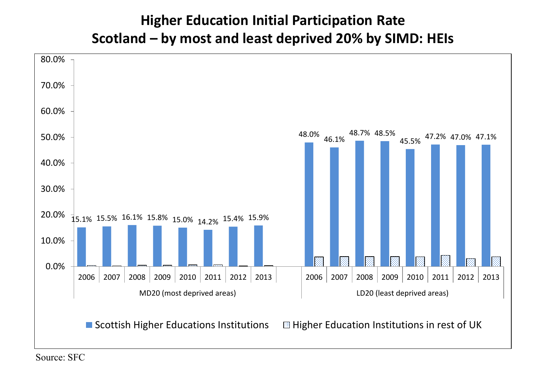#### **Higher Education Initial Participation Rate Scotland – by most and least deprived 20% by SIMD: HEIs**



Source: SFC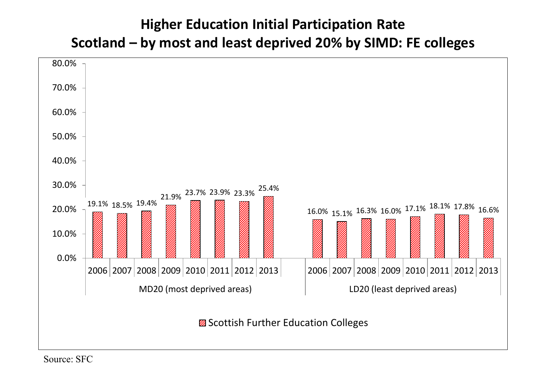#### **Higher Education Initial Participation Rate Scotland – by most and least deprived 20% by SIMD: FE colleges**

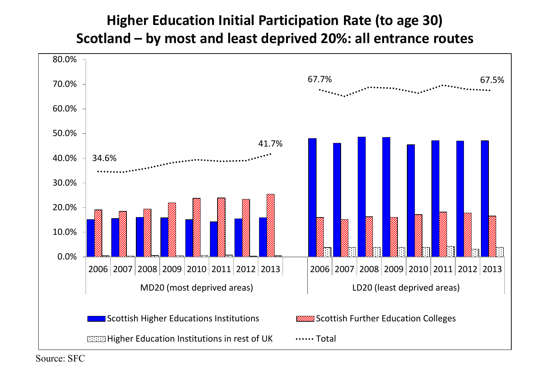#### **Higher Education Initial Participation Rate (to age 30) Scotland – by most and least deprived 20%: all entrance routes**

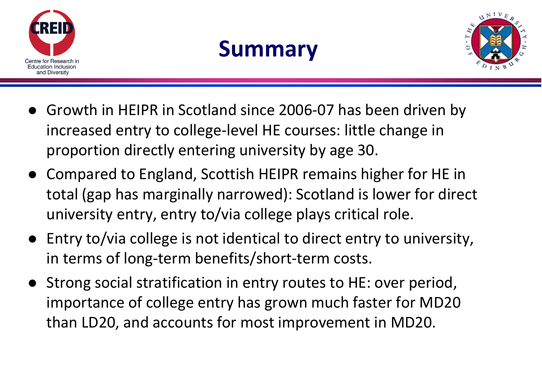

## **Summary**



- Growth in HEIPR in Scotland since 2006-07 has been driven by increased entry to college-level HE courses: little change in proportion directly entering university by age 30.
- Compared to England, Scottish HEIPR remains higher for HE in total (gap has marginally narrowed): Scotland is lower for direct university entry, entry to/via college plays critical role.
- Entry to/via college is not identical to direct entry to university, in terms of long-term benefits/short-term costs.
- Strong social stratification in entry routes to HE: over period, importance of college entry has grown much faster for MD20 than LD20, and accounts for most improvement in MD20.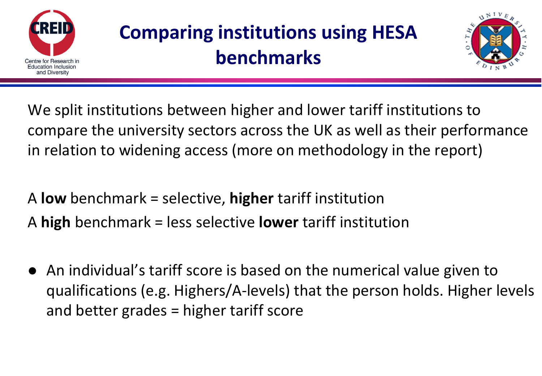

## **Comparing institutions using HESA benchmarks**



We split institutions between higher and lower tariff institutions to compare the university sectors across the UK as well as their performance in relation to widening access (more on methodology in the report)

A **low** benchmark = selective, **higher** tariff institution A **high** benchmark = less selective **lower** tariff institution

 An individual's tariff score is based on the numerical value given to qualifications (e.g. Highers/A-levels) that the person holds. Higher levels and better grades = higher tariff score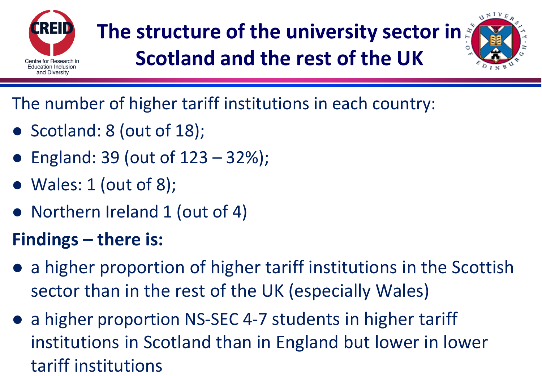

## **The structure of the university sector in Scotland and the rest of the UK**



The number of higher tariff institutions in each country:

- Scotland: 8 (out of 18);
- **•** England: 39 (out of  $123 32\%$ );
- $\bullet$  Wales: 1 (out of 8);
- Northern Ireland 1 (out of 4)

## **Findings – there is:**

- a higher proportion of higher tariff institutions in the Scottish sector than in the rest of the UK (especially Wales)
- a higher proportion NS-SEC 4-7 students in higher tariff institutions in Scotland than in England but lower in lower tariff institutions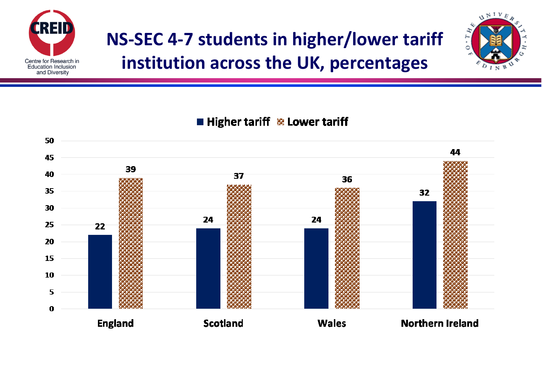

## **NS-SEC 4-7 students in higher/lower tariff institution across the UK, percentages**



**Heta** Higher tariff  $\&$  Lower tariff

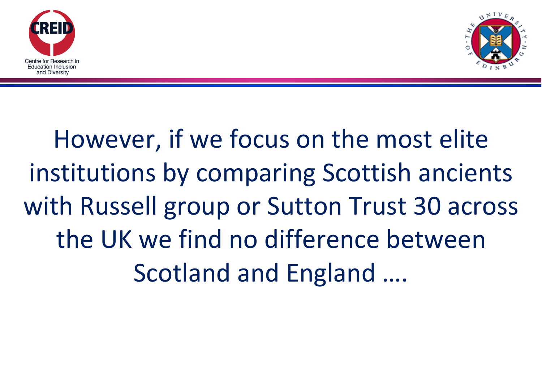



# However, if we focus on the most elite institutions by comparing Scottish ancients with Russell group or Sutton Trust 30 across the UK we find no difference between Scotland and England ….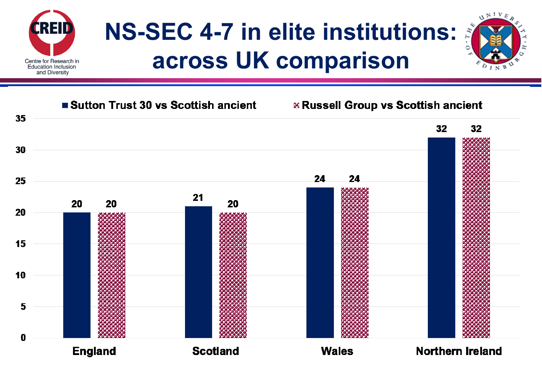

# **NS-SEC 4-7 in elite institutions: across UK comparison**

 $\Delta N I V E$ 

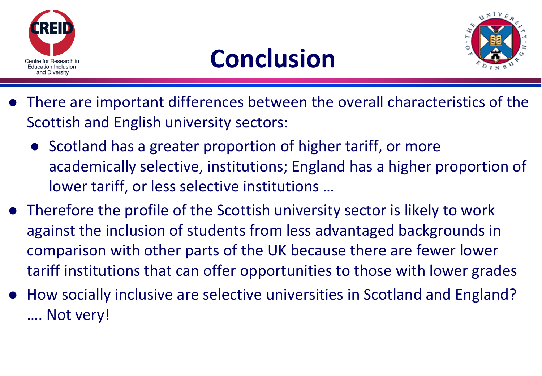





- There are important differences between the overall characteristics of the Scottish and English university sectors:
	- Scotland has a greater proportion of higher tariff, or more academically selective, institutions; England has a higher proportion of lower tariff, or less selective institutions …
- Therefore the profile of the Scottish university sector is likely to work against the inclusion of students from less advantaged backgrounds in comparison with other parts of the UK because there are fewer lower tariff institutions that can offer opportunities to those with lower grades
- How socially inclusive are selective universities in Scotland and England? …. Not very!